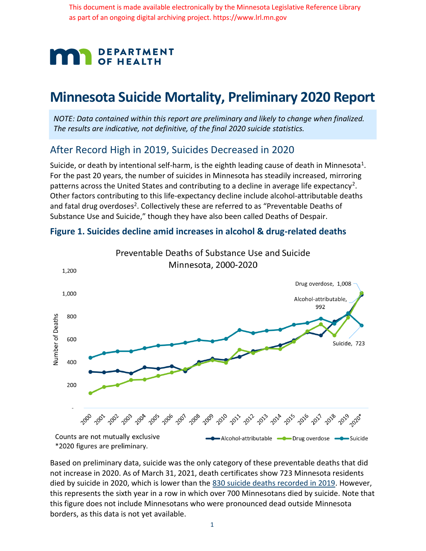This document is made available electronically by the Minnesota Legislative Reference Library as part of an ongoing digital archiving project. https://www.lrl.mn.gov



# **Minnesota Suicide Mortality, Preliminary 2020 Report**

*NOTE: Data contained within this report are preliminary and likely to change when finalized. The results are indicative, not definitive, of the final 2020 suicide statistics.*

### After Record High in 2019, Suicides Decreased in 2020

Suicide, or death by intentional self-harm, is the eighth leading cause of death in Minnesota<sup>1</sup>. For the past 20 years, the number of suicides in Minnesota has steadily increased, mirroring patterns across the United States and contributing to a decline in average life expectancy<sup>2</sup>. Other factors contributing to this life-expectancy decline include alcohol-attributable deaths and fatal drug overdoses<sup>2</sup>. Collectively these are referred to as "Preventable Deaths of Substance Use and Suicide," though they have also been called Deaths of Despair.



#### **Figure 1. Suicides decline amid increases in alcohol & drug-related deaths**

Based on preliminary data, suicide was the only category of these preventable deaths that did not increase in 2020. As of March 31, 2021, death certificates show 723 Minnesota residents died by suicide in 2020, which is lower than the 830 suicide deaths recorded in 2019. However, this represents the sixth year in a row in which over 700 Minnesotans died by suicide. Note that this figure does not include Minnesotans who were pronounced dead outside Minnesota borders, as this data is not yet available.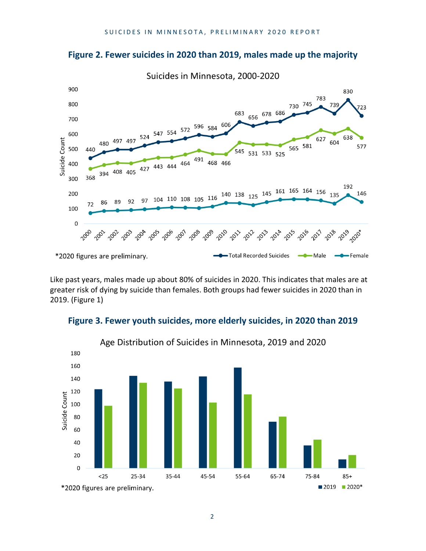

#### **Figure 2. Fewer suicides in 2020 than 2019, males made up the majority**

Like past years, males made up about 80% of suicides in 2020. This indicates that males are at greater risk of dying by suicide than females. Both groups had fewer suicides in 2020 than in 2019. (Figure 1)

**Figure 3. Fewer youth suicides, more elderly suicides, in 2020 than 2019**



2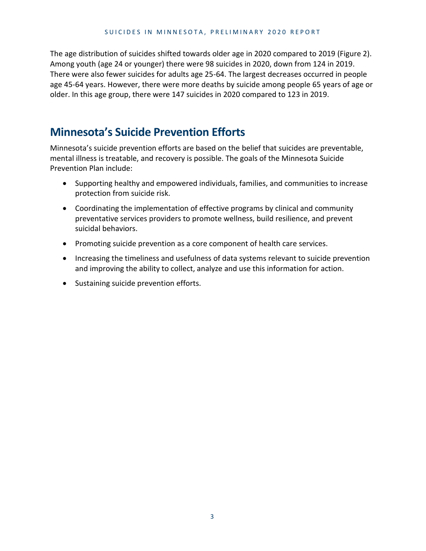The age distribution of suicides shifted towards older age in 2020 compared to 2019 (Figure 2). Among youth (age 24 or younger) there were 98 suicides in 2020, down from 124 in 2019. There were also fewer suicides for adults age 25-64. The largest decreases occurred in people age 45-64 years. However, there were more deaths by suicide among people 65 years of age or older. In this age group, there were 147 suicides in 2020 compared to 123 in 2019.

# **Minnesota's Suicide Prevention Efforts**

Minnesota's suicide prevention efforts are based on the belief that suicides are preventable, mental illness is treatable, and recovery is possible. The goals of the Minnesota Suicide Prevention Plan include:

- Supporting healthy and empowered individuals, families, and communities to increase protection from suicide risk.
- Coordinating the implementation of effective programs by clinical and community preventative services providers to promote wellness, build resilience, and prevent suicidal behaviors.
- Promoting suicide prevention as a core component of health care services.
- Increasing the timeliness and usefulness of data systems relevant to suicide prevention and improving the ability to collect, analyze and use this information for action.
- Sustaining suicide prevention efforts.